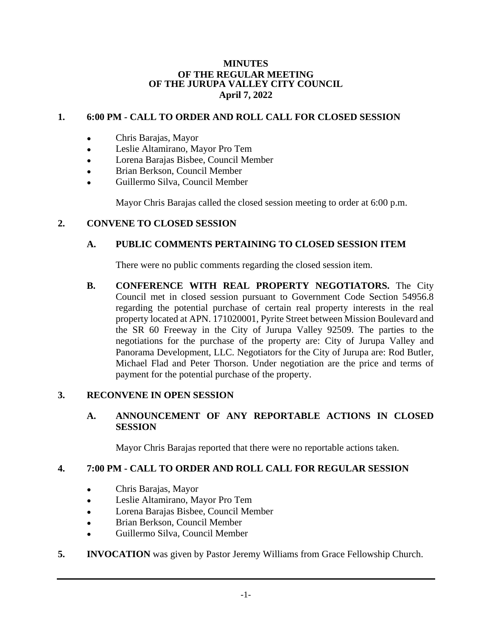#### **MINUTES OF THE REGULAR MEETING OF THE JURUPA VALLEY CITY COUNCIL April 7, 2022**

# **1. 6:00 PM - CALL TO ORDER AND ROLL CALL FOR CLOSED SESSION**

- Chris Barajas, Mayor
- Leslie Altamirano, Mayor Pro Tem
- Lorena Barajas Bisbee, Council Member
- Brian Berkson, Council Member
- Guillermo Silva, Council Member

Mayor Chris Barajas called the closed session meeting to order at 6:00 p.m.

## **2. CONVENE TO CLOSED SESSION**

## **A. PUBLIC COMMENTS PERTAINING TO CLOSED SESSION ITEM**

There were no public comments regarding the closed session item.

**B. CONFERENCE WITH REAL PROPERTY NEGOTIATORS.** The City Council met in closed session pursuant to Government Code Section 54956.8 regarding the potential purchase of certain real property interests in the real property located at APN. 171020001, Pyrite Street between Mission Boulevard and the SR 60 Freeway in the City of Jurupa Valley 92509. The parties to the negotiations for the purchase of the property are: City of Jurupa Valley and Panorama Development, LLC. Negotiators for the City of Jurupa are: Rod Butler, Michael Flad and Peter Thorson. Under negotiation are the price and terms of payment for the potential purchase of the property.

## **3. RECONVENE IN OPEN SESSION**

## **A. ANNOUNCEMENT OF ANY REPORTABLE ACTIONS IN CLOSED SESSION**

Mayor Chris Barajas reported that there were no reportable actions taken.

# **4. 7:00 PM - CALL TO ORDER AND ROLL CALL FOR REGULAR SESSION**

- Chris Barajas, Mayor
- Leslie Altamirano, Mayor Pro Tem
- Lorena Barajas Bisbee, Council Member
- Brian Berkson, Council Member
- Guillermo Silva, Council Member
- **5. INVOCATION** was given by Pastor Jeremy Williams from Grace Fellowship Church.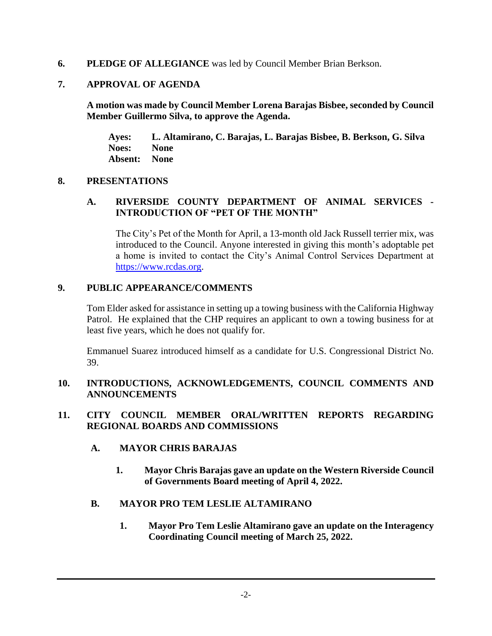#### **6. PLEDGE OF ALLEGIANCE** was led by Council Member Brian Berkson.

#### **7. APPROVAL OF AGENDA**

**A motion was made by Council Member Lorena Barajas Bisbee, seconded by Council Member Guillermo Silva, to approve the Agenda.**

**Ayes: L. Altamirano, C. Barajas, L. Barajas Bisbee, B. Berkson, G. Silva Noes: None Absent: None**

#### **8. PRESENTATIONS**

#### **A. RIVERSIDE COUNTY DEPARTMENT OF ANIMAL SERVICES - INTRODUCTION OF "PET OF THE MONTH"**

The City's Pet of the Month for April, a 13-month old Jack Russell terrier mix, was introduced to the Council. Anyone interested in giving this month's adoptable pet a home is invited to contact the City's Animal Control Services Department at [https://www.rcdas.org.](https://www.rcdas.org/)

#### **9. PUBLIC APPEARANCE/COMMENTS**

Tom Elder asked for assistance in setting up a towing business with the California Highway Patrol. He explained that the CHP requires an applicant to own a towing business for at least five years, which he does not qualify for.

Emmanuel Suarez introduced himself as a candidate for U.S. Congressional District No. 39.

## **10. INTRODUCTIONS, ACKNOWLEDGEMENTS, COUNCIL COMMENTS AND ANNOUNCEMENTS**

#### **11. CITY COUNCIL MEMBER ORAL/WRITTEN REPORTS REGARDING REGIONAL BOARDS AND COMMISSIONS**

- **A. MAYOR CHRIS BARAJAS**
	- **1. Mayor Chris Barajas gave an update on the Western Riverside Council of Governments Board meeting of April 4, 2022.**

## **B. MAYOR PRO TEM LESLIE ALTAMIRANO**

**1. Mayor Pro Tem Leslie Altamirano gave an update on the Interagency Coordinating Council meeting of March 25, 2022.**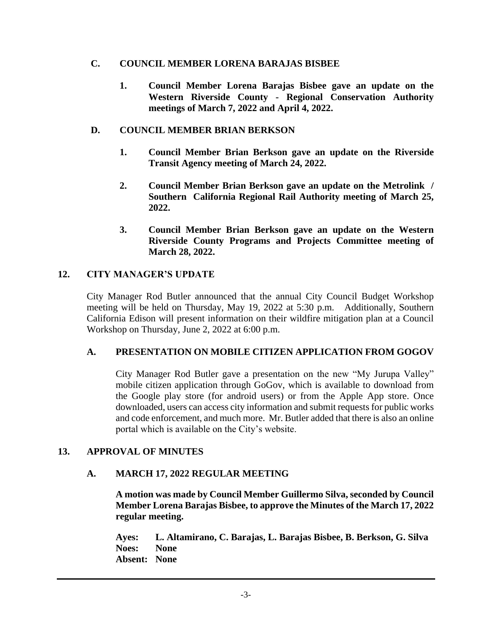## **C. COUNCIL MEMBER LORENA BARAJAS BISBEE**

**1. Council Member Lorena Barajas Bisbee gave an update on the Western Riverside County - Regional Conservation Authority meetings of March 7, 2022 and April 4, 2022.**

# **D. COUNCIL MEMBER BRIAN BERKSON**

- **1. Council Member Brian Berkson gave an update on the Riverside Transit Agency meeting of March 24, 2022.**
- **2. Council Member Brian Berkson gave an update on the Metrolink / Southern California Regional Rail Authority meeting of March 25, 2022.**
- **3. Council Member Brian Berkson gave an update on the Western Riverside County Programs and Projects Committee meeting of March 28, 2022.**

# **12. CITY MANAGER'S UPDATE**

City Manager Rod Butler announced that the annual City Council Budget Workshop meeting will be held on Thursday, May 19, 2022 at 5:30 p.m. Additionally, Southern California Edison will present information on their wildfire mitigation plan at a Council Workshop on Thursday, June 2, 2022 at 6:00 p.m.

## **A. PRESENTATION ON MOBILE CITIZEN APPLICATION FROM GOGOV**

City Manager Rod Butler gave a presentation on the new "My Jurupa Valley" mobile citizen application through GoGov, which is available to download from the Google play store (for android users) or from the Apple App store. Once downloaded, users can access city information and submit requests for public works and code enforcement, and much more. Mr. Butler added that there is also an online portal which is available on the City's website.

## **13. APPROVAL OF MINUTES**

## **A. MARCH 17, 2022 REGULAR MEETING**

**A motion was made by Council Member Guillermo Silva, seconded by Council Member Lorena Barajas Bisbee, to approve the Minutes of the March 17, 2022 regular meeting.**

**Ayes: L. Altamirano, C. Barajas, L. Barajas Bisbee, B. Berkson, G. Silva Noes: None Absent: None**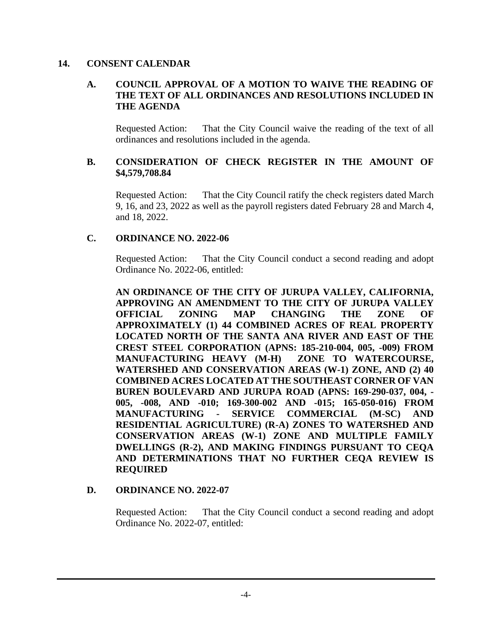#### **14. CONSENT CALENDAR**

## **A. COUNCIL APPROVAL OF A MOTION TO WAIVE THE READING OF THE TEXT OF ALL ORDINANCES AND RESOLUTIONS INCLUDED IN THE AGENDA**

Requested Action: That the City Council waive the reading of the text of all ordinances and resolutions included in the agenda.

## **B. CONSIDERATION OF CHECK REGISTER IN THE AMOUNT OF \$4,579,708.84**

Requested Action: That the City Council ratify the check registers dated March 9, 16, and 23, 2022 as well as the payroll registers dated February 28 and March 4, and 18, 2022.

#### **C. ORDINANCE NO. 2022-06**

Requested Action: That the City Council conduct a second reading and adopt Ordinance No. 2022-06, entitled:

**AN ORDINANCE OF THE CITY OF JURUPA VALLEY, CALIFORNIA, APPROVING AN AMENDMENT TO THE CITY OF JURUPA VALLEY OFFICIAL ZONING MAP CHANGING THE ZONE OF APPROXIMATELY (1) 44 COMBINED ACRES OF REAL PROPERTY LOCATED NORTH OF THE SANTA ANA RIVER AND EAST OF THE CREST STEEL CORPORATION (APNS: 185-210-004, 005, -009) FROM MANUFACTURING HEAVY (M-H) ZONE TO WATERCOURSE, WATERSHED AND CONSERVATION AREAS (W-1) ZONE, AND (2) 40 COMBINED ACRES LOCATED AT THE SOUTHEAST CORNER OF VAN BUREN BOULEVARD AND JURUPA ROAD (APNS: 169-290-037, 004, - 005, -008, AND -010; 169-300-002 AND -015; 165-050-016) FROM MANUFACTURING - SERVICE COMMERCIAL (M-SC) AND RESIDENTIAL AGRICULTURE) (R-A) ZONES TO WATERSHED AND CONSERVATION AREAS (W-1) ZONE AND MULTIPLE FAMILY DWELLINGS (R-2), AND MAKING FINDINGS PURSUANT TO CEQA AND DETERMINATIONS THAT NO FURTHER CEQA REVIEW IS REQUIRED**

## **D. ORDINANCE NO. 2022-07**

Requested Action: That the City Council conduct a second reading and adopt Ordinance No. 2022-07, entitled: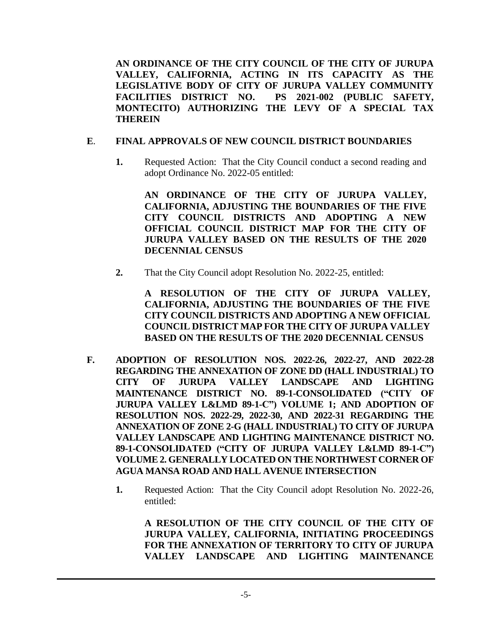**AN ORDINANCE OF THE CITY COUNCIL OF THE CITY OF JURUPA VALLEY, CALIFORNIA, ACTING IN ITS CAPACITY AS THE LEGISLATIVE BODY OF CITY OF JURUPA VALLEY COMMUNITY FACILITIES DISTRICT NO. PS 2021-002 (PUBLIC SAFETY, MONTECITO) AUTHORIZING THE LEVY OF A SPECIAL TAX THEREIN**

## **E**. **FINAL APPROVALS OF NEW COUNCIL DISTRICT BOUNDARIES**

**1.** Requested Action: That the City Council conduct a second reading and adopt Ordinance No. 2022-05 entitled:

**AN ORDINANCE OF THE CITY OF JURUPA VALLEY, CALIFORNIA, ADJUSTING THE BOUNDARIES OF THE FIVE CITY COUNCIL DISTRICTS AND ADOPTING A NEW OFFICIAL COUNCIL DISTRICT MAP FOR THE CITY OF JURUPA VALLEY BASED ON THE RESULTS OF THE 2020 DECENNIAL CENSUS**

**2.** That the City Council adopt Resolution No. 2022-25, entitled:

**A RESOLUTION OF THE CITY OF JURUPA VALLEY, CALIFORNIA, ADJUSTING THE BOUNDARIES OF THE FIVE CITY COUNCIL DISTRICTS AND ADOPTING A NEW OFFICIAL COUNCIL DISTRICT MAP FOR THE CITY OF JURUPA VALLEY BASED ON THE RESULTS OF THE 2020 DECENNIAL CENSUS**

- **F. ADOPTION OF RESOLUTION NOS. 2022-26, 2022-27, AND 2022-28 REGARDING THE ANNEXATION OF ZONE DD (HALL INDUSTRIAL) TO CITY OF JURUPA VALLEY LANDSCAPE AND LIGHTING MAINTENANCE DISTRICT NO. 89-1-CONSOLIDATED ("CITY OF JURUPA VALLEY L&LMD 89-1-C") VOLUME 1; AND ADOPTION OF RESOLUTION NOS. 2022-29, 2022-30, AND 2022-31 REGARDING THE ANNEXATION OF ZONE 2-G (HALL INDUSTRIAL) TO CITY OF JURUPA VALLEY LANDSCAPE AND LIGHTING MAINTENANCE DISTRICT NO. 89-1-CONSOLIDATED ("CITY OF JURUPA VALLEY L&LMD 89-1-C") VOLUME 2. GENERALLY LOCATED ON THE NORTHWEST CORNER OF AGUA MANSA ROAD AND HALL AVENUE INTERSECTION**
	- **1.** Requested Action: That the City Council adopt Resolution No. 2022-26, entitled:

**A RESOLUTION OF THE CITY COUNCIL OF THE CITY OF JURUPA VALLEY, CALIFORNIA, INITIATING PROCEEDINGS FOR THE ANNEXATION OF TERRITORY TO CITY OF JURUPA VALLEY LANDSCAPE AND LIGHTING MAINTENANCE**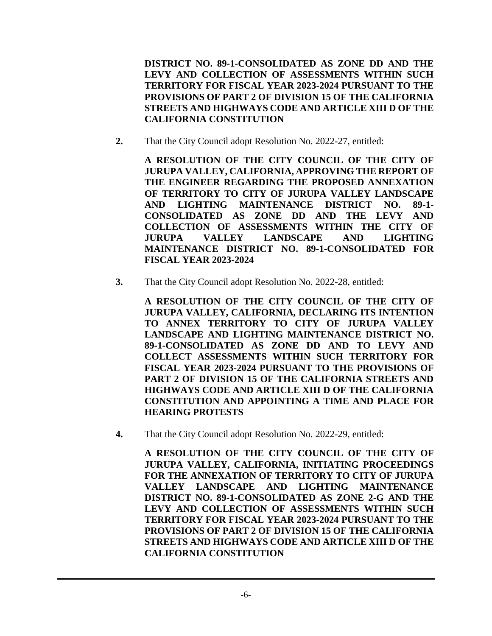**DISTRICT NO. 89-1-CONSOLIDATED AS ZONE DD AND THE LEVY AND COLLECTION OF ASSESSMENTS WITHIN SUCH TERRITORY FOR FISCAL YEAR 2023-2024 PURSUANT TO THE PROVISIONS OF PART 2 OF DIVISION 15 OF THE CALIFORNIA STREETS AND HIGHWAYS CODE AND ARTICLE XIII D OF THE CALIFORNIA CONSTITUTION**

**2.** That the City Council adopt Resolution No. 2022-27, entitled:

**A RESOLUTION OF THE CITY COUNCIL OF THE CITY OF JURUPA VALLEY, CALIFORNIA, APPROVING THE REPORT OF THE ENGINEER REGARDING THE PROPOSED ANNEXATION OF TERRITORY TO CITY OF JURUPA VALLEY LANDSCAPE AND LIGHTING MAINTENANCE DISTRICT NO. 89-1- CONSOLIDATED AS ZONE DD AND THE LEVY AND COLLECTION OF ASSESSMENTS WITHIN THE CITY OF JURUPA VALLEY LANDSCAPE AND LIGHTING MAINTENANCE DISTRICT NO. 89-1-CONSOLIDATED FOR FISCAL YEAR 2023-2024**

**3.** That the City Council adopt Resolution No. 2022-28, entitled:

**A RESOLUTION OF THE CITY COUNCIL OF THE CITY OF JURUPA VALLEY, CALIFORNIA, DECLARING ITS INTENTION TO ANNEX TERRITORY TO CITY OF JURUPA VALLEY LANDSCAPE AND LIGHTING MAINTENANCE DISTRICT NO. 89-1-CONSOLIDATED AS ZONE DD AND TO LEVY AND COLLECT ASSESSMENTS WITHIN SUCH TERRITORY FOR FISCAL YEAR 2023-2024 PURSUANT TO THE PROVISIONS OF PART 2 OF DIVISION 15 OF THE CALIFORNIA STREETS AND HIGHWAYS CODE AND ARTICLE XIII D OF THE CALIFORNIA CONSTITUTION AND APPOINTING A TIME AND PLACE FOR HEARING PROTESTS**

**4.** That the City Council adopt Resolution No. 2022-29, entitled:

**A RESOLUTION OF THE CITY COUNCIL OF THE CITY OF JURUPA VALLEY, CALIFORNIA, INITIATING PROCEEDINGS FOR THE ANNEXATION OF TERRITORY TO CITY OF JURUPA VALLEY LANDSCAPE AND LIGHTING MAINTENANCE DISTRICT NO. 89-1-CONSOLIDATED AS ZONE 2-G AND THE LEVY AND COLLECTION OF ASSESSMENTS WITHIN SUCH TERRITORY FOR FISCAL YEAR 2023-2024 PURSUANT TO THE PROVISIONS OF PART 2 OF DIVISION 15 OF THE CALIFORNIA STREETS AND HIGHWAYS CODE AND ARTICLE XIII D OF THE CALIFORNIA CONSTITUTION**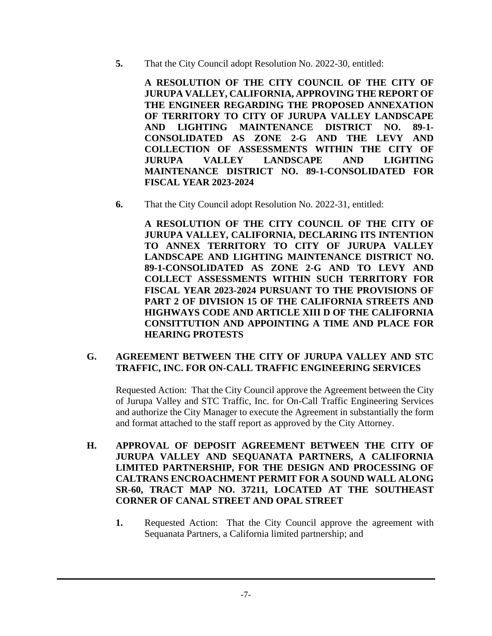**5.** That the City Council adopt Resolution No. 2022-30, entitled:

**A RESOLUTION OF THE CITY COUNCIL OF THE CITY OF JURUPA VALLEY, CALIFORNIA, APPROVING THE REPORT OF THE ENGINEER REGARDING THE PROPOSED ANNEXATION OF TERRITORY TO CITY OF JURUPA VALLEY LANDSCAPE AND LIGHTING MAINTENANCE DISTRICT NO. 89-1- CONSOLIDATED AS ZONE 2-G AND THE LEVY AND COLLECTION OF ASSESSMENTS WITHIN THE CITY OF JURUPA VALLEY LANDSCAPE AND LIGHTING MAINTENANCE DISTRICT NO. 89-1-CONSOLIDATED FOR FISCAL YEAR 2023-2024**

**6.** That the City Council adopt Resolution No. 2022-31, entitled:

**A RESOLUTION OF THE CITY COUNCIL OF THE CITY OF JURUPA VALLEY, CALIFORNIA, DECLARING ITS INTENTION TO ANNEX TERRITORY TO CITY OF JURUPA VALLEY LANDSCAPE AND LIGHTING MAINTENANCE DISTRICT NO. 89-1-CONSOLIDATED AS ZONE 2-G AND TO LEVY AND COLLECT ASSESSMENTS WITHIN SUCH TERRITORY FOR FISCAL YEAR 2023-2024 PURSUANT TO THE PROVISIONS OF PART 2 OF DIVISION 15 OF THE CALIFORNIA STREETS AND HIGHWAYS CODE AND ARTICLE XIII D OF THE CALIFORNIA CONSITTUTION AND APPOINTING A TIME AND PLACE FOR HEARING PROTESTS**

#### **G. AGREEMENT BETWEEN THE CITY OF JURUPA VALLEY AND STC TRAFFIC, INC. FOR ON-CALL TRAFFIC ENGINEERING SERVICES**

Requested Action: That the City Council approve the Agreement between the City of Jurupa Valley and STC Traffic, Inc. for On-Call Traffic Engineering Services and authorize the City Manager to execute the Agreement in substantially the form and format attached to the staff report as approved by the City Attorney.

- **H. APPROVAL OF DEPOSIT AGREEMENT BETWEEN THE CITY OF JURUPA VALLEY AND SEQUANATA PARTNERS, A CALIFORNIA LIMITED PARTNERSHIP, FOR THE DESIGN AND PROCESSING OF CALTRANS ENCROACHMENT PERMIT FOR A SOUND WALL ALONG SR-60, TRACT MAP NO. 37211, LOCATED AT THE SOUTHEAST CORNER OF CANAL STREET AND OPAL STREET**
	- **1.** Requested Action: That the City Council approve the agreement with Sequanata Partners, a California limited partnership; and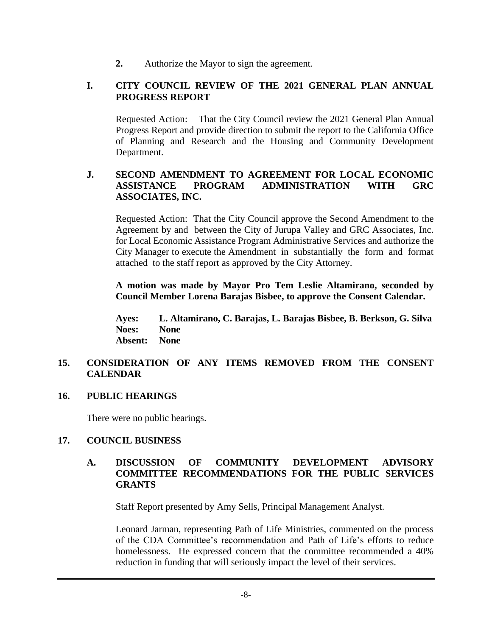**2.** Authorize the Mayor to sign the agreement.

## **I. CITY COUNCIL REVIEW OF THE 2021 GENERAL PLAN ANNUAL PROGRESS REPORT**

Requested Action: That the City Council review the 2021 General Plan Annual Progress Report and provide direction to submit the report to the California Office of Planning and Research and the Housing and Community Development Department.

## **J. SECOND AMENDMENT TO AGREEMENT FOR LOCAL ECONOMIC ASSISTANCE PROGRAM ADMINISTRATION WITH GRC ASSOCIATES, INC.**

Requested Action: That the City Council approve the Second Amendment to the Agreement by and between the City of Jurupa Valley and GRC Associates, Inc. for Local Economic Assistance Program Administrative Services and authorize the City Manager to execute the Amendment in substantially the form and format attached to the staff report as approved by the City Attorney.

**A motion was made by Mayor Pro Tem Leslie Altamirano, seconded by Council Member Lorena Barajas Bisbee, to approve the Consent Calendar.**

**Ayes: L. Altamirano, C. Barajas, L. Barajas Bisbee, B. Berkson, G. Silva Noes: None Absent: None**

## **15. CONSIDERATION OF ANY ITEMS REMOVED FROM THE CONSENT CALENDAR**

## **16. PUBLIC HEARINGS**

There were no public hearings.

## **17. COUNCIL BUSINESS**

#### **A. DISCUSSION OF COMMUNITY DEVELOPMENT ADVISORY COMMITTEE RECOMMENDATIONS FOR THE PUBLIC SERVICES GRANTS**

Staff Report presented by Amy Sells, Principal Management Analyst.

Leonard Jarman, representing Path of Life Ministries, commented on the process of the CDA Committee's recommendation and Path of Life's efforts to reduce homelessness. He expressed concern that the committee recommended a 40% reduction in funding that will seriously impact the level of their services.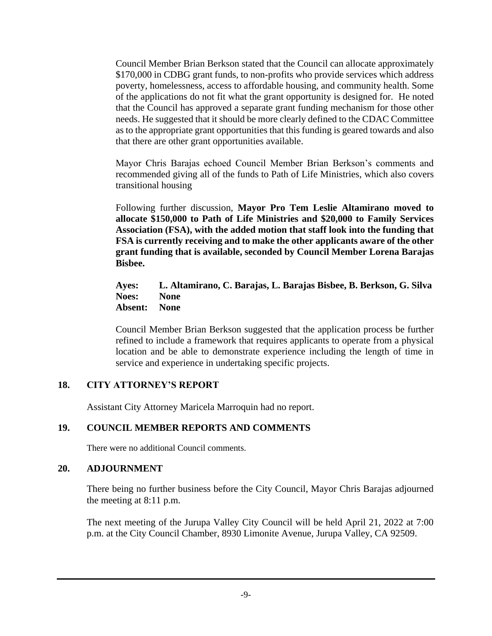Council Member Brian Berkson stated that the Council can allocate approximately \$170,000 in CDBG grant funds, to non-profits who provide services which address poverty, homelessness, access to affordable housing, and community health. Some of the applications do not fit what the grant opportunity is designed for. He noted that the Council has approved a separate grant funding mechanism for those other needs. He suggested that it should be more clearly defined to the CDAC Committee as to the appropriate grant opportunities that this funding is geared towards and also that there are other grant opportunities available.

Mayor Chris Barajas echoed Council Member Brian Berkson's comments and recommended giving all of the funds to Path of Life Ministries, which also covers transitional housing

Following further discussion, **Mayor Pro Tem Leslie Altamirano moved to allocate \$150,000 to Path of Life Ministries and \$20,000 to Family Services Association (FSA), with the added motion that staff look into the funding that FSA is currently receiving and to make the other applicants aware of the other grant funding that is available, seconded by Council Member Lorena Barajas Bisbee.**

**Ayes: L. Altamirano, C. Barajas, L. Barajas Bisbee, B. Berkson, G. Silva Noes: None Absent: None**

Council Member Brian Berkson suggested that the application process be further refined to include a framework that requires applicants to operate from a physical location and be able to demonstrate experience including the length of time in service and experience in undertaking specific projects.

## **18. CITY ATTORNEY'S REPORT**

Assistant City Attorney Maricela Marroquin had no report.

## **19. COUNCIL MEMBER REPORTS AND COMMENTS**

There were no additional Council comments.

## **20. ADJOURNMENT**

There being no further business before the City Council, Mayor Chris Barajas adjourned the meeting at 8:11 p.m.

The next meeting of the Jurupa Valley City Council will be held April 21, 2022 at 7:00 p.m. at the City Council Chamber, 8930 Limonite Avenue, Jurupa Valley, CA 92509.